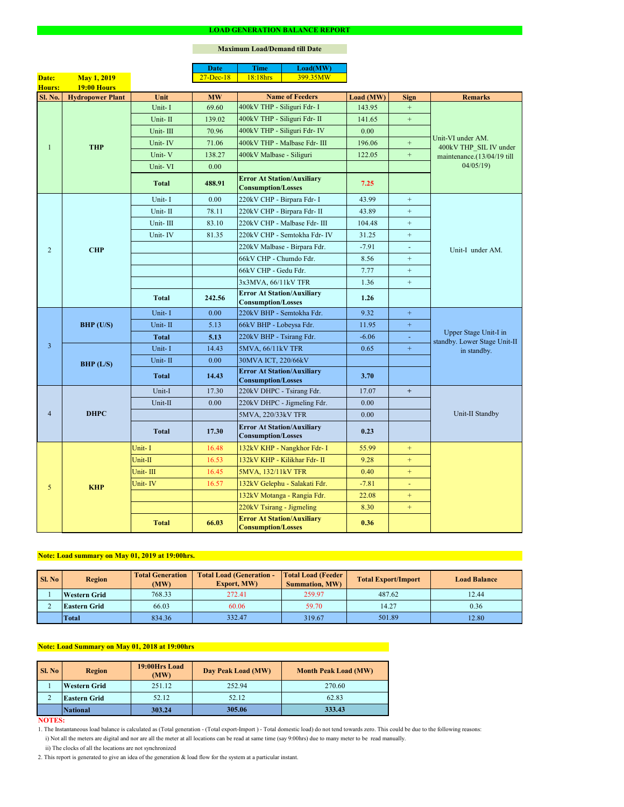#### **NOTES:**

|                |                         |              | <b>Date</b>   | <b>Time</b>                                                    | Load(MW)                      |           |                  |                                                       |  |
|----------------|-------------------------|--------------|---------------|----------------------------------------------------------------|-------------------------------|-----------|------------------|-------------------------------------------------------|--|
| Date:          | <b>May 1, 2019</b>      |              | $27 - Dec-18$ | 18:18hrs                                                       | 399.35MW                      |           |                  |                                                       |  |
| Hours:         | <b>19:00 Hours</b>      |              |               |                                                                |                               |           |                  |                                                       |  |
| Sl. No.        | <b>Hydropower Plant</b> | Unit         | <b>MW</b>     |                                                                | <b>Name of Feeders</b>        | Load (MW) | <b>Sign</b>      | <b>Remarks</b>                                        |  |
|                |                         | Unit-I       | 69.60         | 400kV THP - Siliguri Fdr- I                                    |                               | 143.95    | $+$              |                                                       |  |
|                |                         | Unit-II      | 139.02        |                                                                | 400kV THP - Siliguri Fdr- II  | 141.65    | $\boldsymbol{+}$ |                                                       |  |
|                |                         | Unit-III     | 70.96         |                                                                | 400kV THP - Siliguri Fdr- IV  | 0.00      |                  | Unit-VI under AM.                                     |  |
|                | <b>THP</b>              | Unit-IV      | 71.06         |                                                                | 400kV THP - Malbase Fdr- III  | 196.06    | $\boldsymbol{+}$ | 400kV THP SIL IV under<br>maintenance.(13/04/19 till  |  |
|                |                         | Unit-V       | 138.27        | 400kV Malbase - Siliguri                                       |                               | 122.05    | $\boldsymbol{+}$ |                                                       |  |
|                |                         | Unit-VI      | 0.00          |                                                                |                               |           |                  | 04/05/19                                              |  |
|                |                         | <b>Total</b> | 488.91        | <b>Error At Station/Auxiliary</b><br><b>Consumption/Losses</b> |                               | 7.25      |                  |                                                       |  |
|                |                         | Unit-I       | 0.00          | 220kV CHP - Birpara Fdr- I                                     |                               | 43.99     | $+$              |                                                       |  |
|                |                         | Unit-II      | 78.11         |                                                                | 220kV CHP - Birpara Fdr- II   | 43.89     | $+$              |                                                       |  |
|                |                         | Unit-III     | 83.10         |                                                                | 220kV CHP - Malbase Fdr- III  | 104.48    | $+$              |                                                       |  |
|                |                         | Unit-IV      | 81.35         |                                                                | 220kV CHP - Semtokha Fdr- IV  | 31.25     | $\boldsymbol{+}$ |                                                       |  |
| $\overline{2}$ | <b>CHP</b>              |              |               |                                                                | 220kV Malbase - Birpara Fdr.  | $-7.91$   | $\blacksquare$   | Unit-I under AM.                                      |  |
|                |                         |              |               | 66kV CHP - Chumdo Fdr.                                         |                               | 8.56      | $+$              |                                                       |  |
|                |                         |              |               | 66kV CHP - Gedu Fdr.                                           |                               | 7.77      | $\boldsymbol{+}$ |                                                       |  |
|                |                         |              |               | 3x3MVA, 66/11kV TFR                                            |                               | 1.36      | $+$              |                                                       |  |
|                |                         | <b>Total</b> | 242.56        | <b>Error At Station/Auxiliary</b><br><b>Consumption/Losses</b> |                               | 1.26      |                  |                                                       |  |
|                | BHP (U/S)               | Unit-I       | 0.00          | 220kV BHP - Semtokha Fdr.                                      |                               | 9.32      | $+$              |                                                       |  |
|                |                         | Unit-II      | 5.13          | 66kV BHP - Lobeysa Fdr.                                        |                               | 11.95     | $\pm$            | Upper Stage Unit-I in<br>standby. Lower Stage Unit-II |  |
|                |                         | <b>Total</b> | 5.13          | 220kV BHP - Tsirang Fdr.                                       |                               | $-6.06$   |                  |                                                       |  |
| $\overline{3}$ |                         | Unit-I       | 14.43         | 5MVA, 66/11kV TFR                                              |                               | 0.65      | $+$              | in standby.                                           |  |
|                | BHP (L/S)               | Unit-II      | 0.00          | 30MVA ICT, 220/66kV                                            |                               |           |                  |                                                       |  |
|                |                         | <b>Total</b> | 14.43         | <b>Error At Station/Auxiliary</b><br><b>Consumption/Losses</b> |                               | 3.70      |                  |                                                       |  |
|                | <b>DHPC</b>             | Unit-I       | 17.30         | 220kV DHPC - Tsirang Fdr.                                      |                               | 17.07     | $+$              |                                                       |  |
|                |                         | Unit-II      | 0.00          |                                                                | 220kV DHPC - Jigmeling Fdr.   | 0.00      |                  |                                                       |  |
| $\overline{4}$ |                         |              |               | 5MVA, 220/33kV TFR                                             |                               | 0.00      |                  | Unit-II Standby                                       |  |
|                |                         | <b>Total</b> | 17.30         | <b>Error At Station/Auxiliary</b><br><b>Consumption/Losses</b> |                               | 0.23      |                  |                                                       |  |
|                |                         | Unit-I       | 16.48         |                                                                | 132kV KHP - Nangkhor Fdr- I   | 55.99     | $+$              |                                                       |  |
|                |                         | Unit-II      | 16.53         |                                                                | 132kV KHP - Kilikhar Fdr- II  | 9.28      | $+$              |                                                       |  |
|                | <b>KHP</b>              | Unit-III     | 16.45         | <b>5MVA, 132/11kV TFR</b>                                      |                               | 0.40      | $+$              |                                                       |  |
| 5              |                         | Unit-IV      | 16.57         |                                                                | 132kV Gelephu - Salakati Fdr. | $-7.81$   |                  |                                                       |  |
|                |                         |              |               |                                                                | 132kV Motanga - Rangia Fdr.   | 22.08     | $+$              |                                                       |  |
|                |                         |              |               | 220kV Tsirang - Jigmeling                                      |                               | 8.30      | $+$              |                                                       |  |
|                |                         | <b>Total</b> | 66.03         | <b>Error At Station/Auxiliary</b><br><b>Consumption/Losses</b> |                               | 0.36      |                  |                                                       |  |

#### **LOAD GENERATION BALANCE REPORT**

| Sl. No | <b>Total Generation</b><br><b>Region</b><br>(MW) |        | <b>Total Load (Generation -</b><br><b>Export, MW)</b> | <b>Total Load (Feeder</b><br><b>Summation, MW)</b> | <b>Total Export/Import</b> | <b>Load Balance</b> |
|--------|--------------------------------------------------|--------|-------------------------------------------------------|----------------------------------------------------|----------------------------|---------------------|
|        | <b>Western Grid</b>                              | 768.33 | 272.41                                                | 259.97                                             | 487.62                     | 12.44               |
|        | 66.03<br><b>Eastern Grid</b>                     |        | 60.06                                                 | 59.70                                              | 14.27                      | 0.36                |
|        | <b>Total</b>                                     | 834.36 | 332.47                                                | 319.67                                             | 501.89                     | 12.80               |

| <b>Sl. No</b> | <b>Region</b>       | 19:00Hrs Load<br>(MW) | Day Peak Load (MW) | <b>Month Peak Load (MW)</b> |  |
|---------------|---------------------|-----------------------|--------------------|-----------------------------|--|
|               | <b>Western Grid</b> | 251.12                | 252.94             | 270.60                      |  |
|               | <b>Eastern Grid</b> | 52.12                 | 52.12              | 62.83                       |  |
|               | <b>National</b>     | 303.24                | 305.06             | 333.43                      |  |

# **Note: Load Summary on May 01, 2018 at 19:00hrs**

## **Note: Load summary on May 01, 2019 at 19:00hrs.**

- 1. The Instantaneous load balance is calculated as (Total generation (Total export-Import ) Total domestic load) do not tend towards zero. This could be due to the following reasons:
	- i) Not all the meters are digital and nor are all the meter at all locations can be read at same time (say 9:00hrs) due to many meter to be read manually.
	- ii) The clocks of all the locations are not synchronized
- 2. This report is generated to give an idea of the generation & load flow for the system at a particular instant.

### **Maximum Load/Demand till Date**